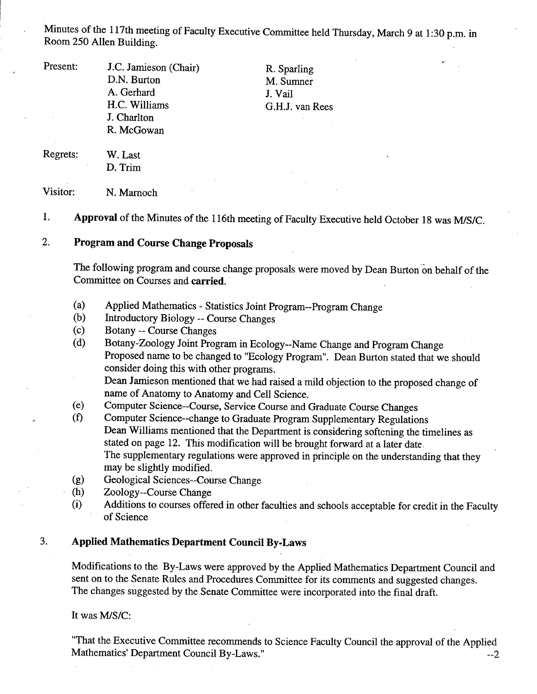Minutes of the 117th meeting of Faculty Executive Committee held Thursday, March 9 at 1:30 p.m. in Room *250* Allen Building.

Present: J.C. Jamieson (Chair)

D.N. Burton A. Gerhard H.C. Williams J. Charlton R. McGowan

R. Sparling M. Sumner J. Vail G.H.J. van Rees

Regrets: W. Last

# D.Trim Visitor: N. Marnoch

1. **Approval** of the Minutes of the 116th meeting of Faculty Executive held October 18 was MiS/C.

#### $2.$ **Program and Course Change Proposals**

The following program and course change proposals were moved by Dean Burton on behalf of the Committee on Courses and **carried.** 

- $(a)$ Applied Mathematics - Statistics Joint Program--Program Change
- $(b)$ Introductory Biology -- Course Changes
- $(c)$ Botany -- Course Changes
- Botany-Zoology Joint Program in Ecology--Name Change and Program Change  $(d)$ Proposed name to be changed to "Ecology Program". Dean Burton stated that we should consider doing this with other programs. Dean Jamieson mentioned that we had raised a mild objection to the proposed change of

name of Anatomy to Anatomy and Cell Science.

- $(e)$ Computer Science--Course, Service Course and Graduate Course Changes
- (0 Computer Science--change to Graduate Program Supplementary Regulations Dean Williams mentioned that the Department is considering softening the timelines as stated on page 12. This modification will be brought forward at a later date. The supplementary regulations were approved in principle on the understanding that they may be slightly modified.
- Geological Sciences--Course Change  $(g)$
- Zoology--Course Change  $(h)$
- Additions to courses offered in other faculties and schools acceptable for credit in the Faculty  $(i)$ of Science

## **3. Applied Mathematics Department Council By-Laws**

Modifications to the By-Laws were approved by the Applied Mathematics Department Council and sent on to the Senate Rules and Procedures Committee for its comments and suggested changes. The changes suggested by the Senate Committee were incorporated into the final draft.

It was MIS/C:

"That the Executive Committee recommends to Science Faculty Council the approval of the Applied Mathematics' Department Council By-Laws."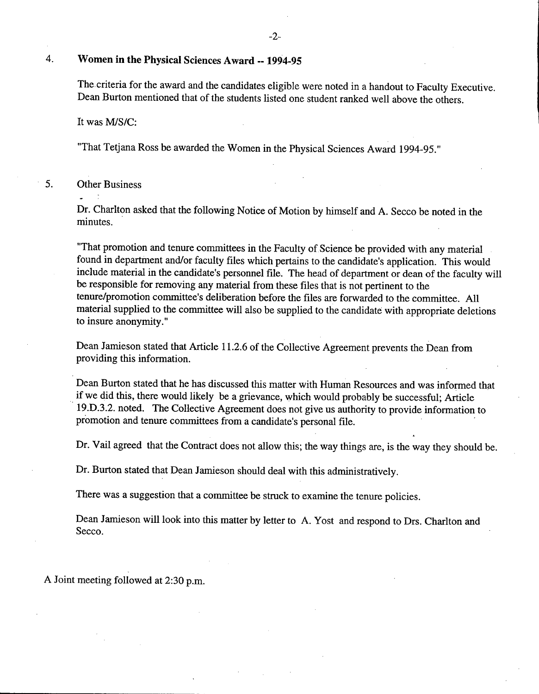#### $\overline{4}$ . **Women in the Physical Sciences Award** -- **1994-95**

The.criteria for the award and the candidates eligible were noted in a handout to Faculty Executive. Dean Burton mentioned that of the students listed one student ranked well above the others.

It was *MIS/C:* 

"That Tetjana Ross be awarded the Women in the Physical Sciences Award 1994-95."

*5.* Other Business

Dr. Charlton asked that the following Notice of Motion by himself and A. Secco be noted in the minutes.

"That promotion and tenure committees in the Faculty of Science be provided with any material found in department and/or faculty files which pertains to the candidate's application. This would include material in the candidate's personnel file. The head of department or dean of the faculty will be responsible for removing any material from these files that is not pertinent to the tenure/promotion committee's deliberation before the files are forwarded to the committee. All material supplied to the committee will also be supplied to the candidate with appropriate deletions to insure anonymity."

Dean Jamieson stated that Article 11.2.6 of the Collective Agreement prevents the Dean from providing this information.

Dean Burton stated that he has discussed this matter with Human Resources and was informed that if we did this, there would likely be a grievance, which would probably be successful; Article 19.D.3.2. noted. The Collective Agreement does not give us authority to provide information to promotion and tenure committees from a candidate's personal file.

Dr. Vail agreed that the Contract does not allow this; the way things are, is the way they should be.

Dr. Burton stated that Dean Jamieson should deal with this administratively.

There was a suggestion that a committee be struck to examine the tenure policies.

Dean Jamieson will look into this matter by letter to A. Yost and respond to Drs. Charlton and Secco.

A Joint meeting followed at 2:30 p.m.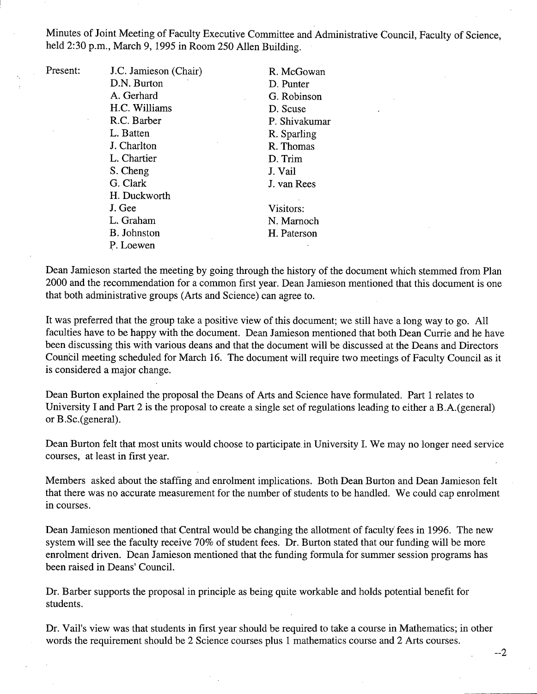Minutes of Joint Meeting of Faculty Executive Committee and Administrative Council, Faculty of Science, held 2:30 p.m., March 9, 1995 in Room *250* AlIen Building.

| Present: | J.C. Jamieson (Chair) | R. McGowan    |
|----------|-----------------------|---------------|
|          | D.N. Burton           | D. Punter     |
|          | A. Gerhard            | G. Robinson   |
|          | H.C. Williams         | D. Scuse      |
|          | R.C. Barber           | P. Shivakumar |
|          | L. Batten             | R. Sparling   |
|          | J. Charlton           | R. Thomas     |
|          | L. Chartier           | D. Trim       |
|          | S. Cheng              | J. Vail       |
|          | G. Clark              | J. van Rees   |
|          | H. Duckworth          |               |
|          | J. Gee                | Visitors:     |
|          | L. Graham             | N. Marnoch    |
|          | B. Johnston           | H. Paterson   |
|          | P. Loewen             |               |

Dean Jamieson started the meeting by going through the history of the document which stemmed from Plan 2000 and the recommendation for a common first year. Dean Jamieson mentioned that this document is one that both administrative groups (Arts and Science) can agree to.

It was preferred that the group take a positive view of this document; we still have a long way to go. All faculties have to be happy with the document. Dean Jamieson mentioned that both Dean Currie and he have been discussing this with various deans and that the document will be discussed at the Deans and Directors Council meeting scheduled for March 16. The document will require two meetings of Faculty Council as it is considered a major change.

Dean Burton explained the proposal the Deans of Arts and Science have formulated. Part 1 relates to University I and Part 2 is the proposal to create a single set of regulations leading to either a B.A. (general) or B.Sc.(general).

Dean Burton felt that most units would choose to participate. in University I. We may no longer need service courses, at least in first year.

Members asked about the staffing and enrolment implications. Both Dean Burton and Dean Jamieson felt that there was no accurate measurement for the number of students to be handled. We could cap enrolment in courses.

Dean Jamieson mentioned that Central would be changing the allotment of faculty fees in 1996. The new system will see the faculty receive 70% of student fees. Dr. Burton stated that our funding will be more enrolment driven. Dean Jamieson mentioned that the funding formula for summer session programs has been raised in Deans' Council.

Dr. Barber supports the proposal in principle as being quite workable and holds potential benefit for students.

Dr. Vail's view was that students in first year should be required to take a course in Mathematics; in other words the requirement should be 2 Science courses plus 1 mathematics course and 2 Arts courses.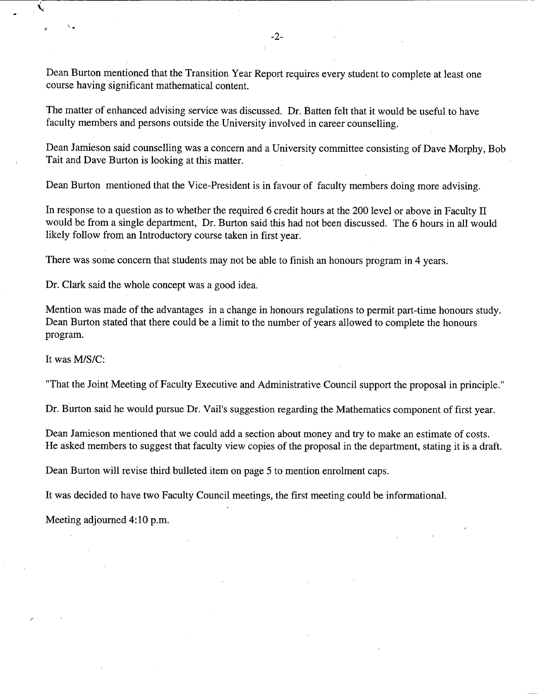Dean Burton mentioned that the Transition Year Report requires every student to complete at least one course having significant mathematical content.

The matter of enhanced advising service was discussed. Dr. Batten felt that it would be useful to have faculty members and persons outside the University involved in career counselling.

Dean Jamieson said counselling was a concern and a University committee consisting of Dave Morphy, Bob Tait and Dave Burton is looking at this matter.

Dean Burton mentioned that the Vice-President is in favour of faculty members doing more advising.

In response to a question as to whether the required 6 credit hours at the 200 level or above in Faculty II would be from a single department, Dr. Burton said this had not been discussed. The 6 hours in all would likely follow from an Introductory course taken in first year.

There was some concern that students may not be able to finish an honours program in 4 years.

Dr. Clark said the whole concept was a good idea.

Mention was made of the advantages in a change in honours regulations to permit part-time honours study. Dean Burton stated that there could be a limit to the number of years allowed to complete the honours program.

It was MIS/C:

 $\sqrt{2}$ 

"That the Joint Meeting of Faculty Executive and Administrative Council support the proposal in principle."

Dr. Burton said he would pursue Dr. Vail's suggestion regarding the Mathematics component of first year.

Dean Jamieson mentioned that we could add a section about money and try to make an estimate of costs. He asked members to suggest that faculty view copies of the proposal in the department, stating it is a draft.

Dean Burton will revise third bulleted item on page *5* to mention enrolment caps.

It was decided to have two Faculty Council meetings, the first meeting could be informational.

Meeting adjourned 4:10 p.m.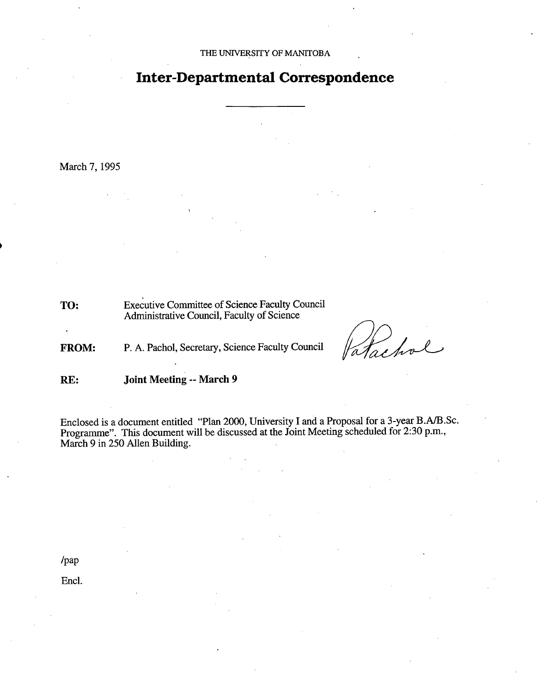## **Inter-Departmental Correspondence**

March 7, 1995

TO: Executive Committee of Science Faculty Council Administrative Council, Faculty of Science

FROM: P. A. Pachol, Secretary, Science Faculty Council

achol

**RE: Joint Meeting -- March 9** 

Enclosed is a document entitled "Plan 2000, University I and a Proposal for a 3-year B.A/B.Sc. Programme". This document will be discussed at the Joint Meeting scheduled for 2:30 p.m., March 9 in *250* Allen Building.

/pap

Encl.